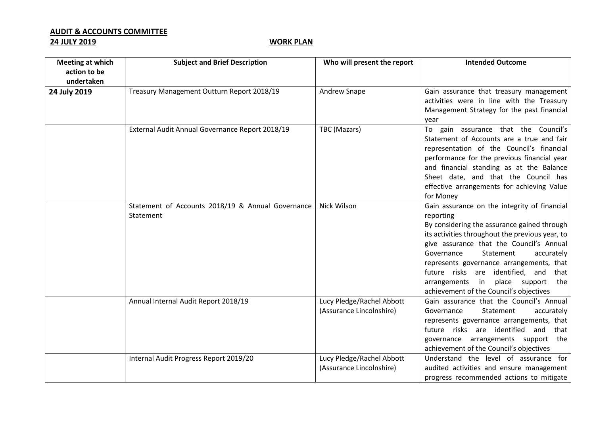## **AUDIT & ACCOUNTS COMMITTEE**

## **24 JULY 2019 WORK PLAN**

| <b>Meeting at which</b><br>action to be<br>undertaken | <b>Subject and Brief Description</b>                           | Who will present the report                           | <b>Intended Outcome</b>                                                                                                                                                                                                                                                                                                                                                                                               |
|-------------------------------------------------------|----------------------------------------------------------------|-------------------------------------------------------|-----------------------------------------------------------------------------------------------------------------------------------------------------------------------------------------------------------------------------------------------------------------------------------------------------------------------------------------------------------------------------------------------------------------------|
| 24 July 2019                                          | Treasury Management Outturn Report 2018/19                     | Andrew Snape                                          | Gain assurance that treasury management<br>activities were in line with the Treasury<br>Management Strategy for the past financial<br>year                                                                                                                                                                                                                                                                            |
|                                                       | External Audit Annual Governance Report 2018/19                | TBC (Mazars)                                          | To gain assurance that the Council's<br>Statement of Accounts are a true and fair<br>representation of the Council's financial<br>performance for the previous financial year<br>and financial standing as at the Balance<br>Sheet date, and that the Council has<br>effective arrangements for achieving Value<br>for Money                                                                                          |
|                                                       | Statement of Accounts 2018/19 & Annual Governance<br>Statement | Nick Wilson                                           | Gain assurance on the integrity of financial<br>reporting<br>By considering the assurance gained through<br>its activities throughout the previous year, to<br>give assurance that the Council's Annual<br>Governance<br>Statement<br>accurately<br>represents governance arrangements, that<br>future risks are identified, and that<br>arrangements in place support the<br>achievement of the Council's objectives |
|                                                       | Annual Internal Audit Report 2018/19                           | Lucy Pledge/Rachel Abbott<br>(Assurance Lincolnshire) | Gain assurance that the Council's Annual<br>Governance<br>Statement<br>accurately<br>represents governance arrangements, that<br>future risks are identified and<br>that<br>governance arrangements support the<br>achievement of the Council's objectives                                                                                                                                                            |
|                                                       | Internal Audit Progress Report 2019/20                         | Lucy Pledge/Rachel Abbott<br>(Assurance Lincolnshire) | Understand the level of assurance for<br>audited activities and ensure management<br>progress recommended actions to mitigate                                                                                                                                                                                                                                                                                         |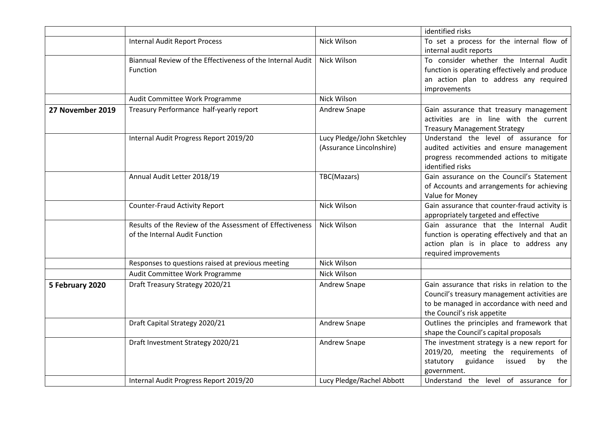|                  |                                                                                            |                                                        | identified risks                                                                                                                                                         |
|------------------|--------------------------------------------------------------------------------------------|--------------------------------------------------------|--------------------------------------------------------------------------------------------------------------------------------------------------------------------------|
|                  | <b>Internal Audit Report Process</b>                                                       | Nick Wilson                                            | To set a process for the internal flow of<br>internal audit reports                                                                                                      |
|                  | Biannual Review of the Effectiveness of the Internal Audit<br><b>Function</b>              | Nick Wilson                                            | To consider whether the Internal Audit<br>function is operating effectively and produce<br>an action plan to address any required<br>improvements                        |
|                  | Audit Committee Work Programme                                                             | Nick Wilson                                            |                                                                                                                                                                          |
| 27 November 2019 | Treasury Performance half-yearly report                                                    | <b>Andrew Snape</b>                                    | Gain assurance that treasury management<br>activities are in line with the current<br><b>Treasury Management Strategy</b>                                                |
|                  | Internal Audit Progress Report 2019/20                                                     | Lucy Pledge/John Sketchley<br>(Assurance Lincolnshire) | Understand the level of assurance for<br>audited activities and ensure management<br>progress recommended actions to mitigate<br>identified risks                        |
|                  | Annual Audit Letter 2018/19                                                                | TBC(Mazars)                                            | Gain assurance on the Council's Statement<br>of Accounts and arrangements for achieving<br>Value for Money                                                               |
|                  | <b>Counter-Fraud Activity Report</b>                                                       | Nick Wilson                                            | Gain assurance that counter-fraud activity is<br>appropriately targeted and effective                                                                                    |
|                  | Results of the Review of the Assessment of Effectiveness<br>of the Internal Audit Function | Nick Wilson                                            | Gain assurance that the Internal Audit<br>function is operating effectively and that an<br>action plan is in place to address any<br>required improvements               |
|                  | Responses to questions raised at previous meeting                                          | Nick Wilson                                            |                                                                                                                                                                          |
|                  | Audit Committee Work Programme                                                             | <b>Nick Wilson</b>                                     |                                                                                                                                                                          |
| 5 February 2020  | Draft Treasury Strategy 2020/21                                                            | <b>Andrew Snape</b>                                    | Gain assurance that risks in relation to the<br>Council's treasury management activities are<br>to be managed in accordance with need and<br>the Council's risk appetite |
|                  | Draft Capital Strategy 2020/21                                                             | Andrew Snape                                           | Outlines the principles and framework that<br>shape the Council's capital proposals                                                                                      |
|                  | Draft Investment Strategy 2020/21                                                          | Andrew Snape                                           | The investment strategy is a new report for<br>2019/20, meeting the requirements of<br>guidance<br>statutory<br>issued<br>by<br>the<br>government.                       |
|                  | Internal Audit Progress Report 2019/20                                                     | Lucy Pledge/Rachel Abbott                              | Understand the level of assurance for                                                                                                                                    |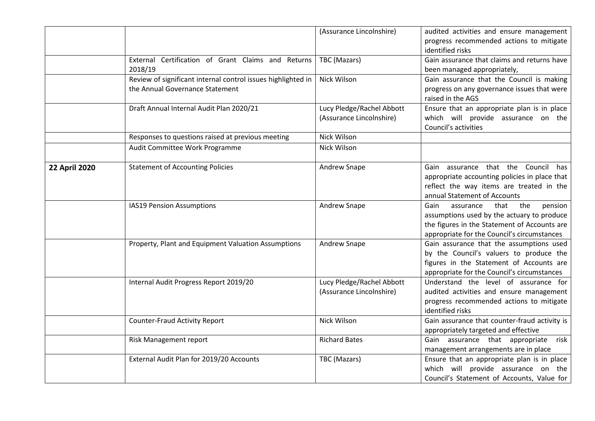|                      |                                                                                                 | (Assurance Lincolnshire)                              | audited activities and ensure management<br>progress recommended actions to mitigate<br>identified risks                                                                                 |
|----------------------|-------------------------------------------------------------------------------------------------|-------------------------------------------------------|------------------------------------------------------------------------------------------------------------------------------------------------------------------------------------------|
|                      | External Certification of Grant Claims and Returns<br>2018/19                                   | TBC (Mazars)                                          | Gain assurance that claims and returns have<br>been managed appropriately,                                                                                                               |
|                      | Review of significant internal control issues highlighted in<br>the Annual Governance Statement | Nick Wilson                                           | Gain assurance that the Council is making<br>progress on any governance issues that were<br>raised in the AGS                                                                            |
|                      | Draft Annual Internal Audit Plan 2020/21                                                        | Lucy Pledge/Rachel Abbott<br>(Assurance Lincolnshire) | Ensure that an appropriate plan is in place<br>which will provide assurance on the<br>Council's activities                                                                               |
|                      | Responses to questions raised at previous meeting                                               | Nick Wilson                                           |                                                                                                                                                                                          |
|                      | Audit Committee Work Programme                                                                  | Nick Wilson                                           |                                                                                                                                                                                          |
| <b>22 April 2020</b> | <b>Statement of Accounting Policies</b>                                                         | Andrew Snape                                          | Gain assurance that the Council<br>has<br>appropriate accounting policies in place that<br>reflect the way items are treated in the<br>annual Statement of Accounts                      |
|                      | IAS19 Pension Assumptions                                                                       | Andrew Snape                                          | the<br>Gain<br>that<br>assurance<br>pension<br>assumptions used by the actuary to produce<br>the figures in the Statement of Accounts are<br>appropriate for the Council's circumstances |
|                      | Property, Plant and Equipment Valuation Assumptions                                             | Andrew Snape                                          | Gain assurance that the assumptions used<br>by the Council's valuers to produce the<br>figures in the Statement of Accounts are<br>appropriate for the Council's circumstances           |
|                      | Internal Audit Progress Report 2019/20                                                          | Lucy Pledge/Rachel Abbott<br>(Assurance Lincolnshire) | Understand the level of assurance for<br>audited activities and ensure management<br>progress recommended actions to mitigate<br>identified risks                                        |
|                      | <b>Counter-Fraud Activity Report</b>                                                            | Nick Wilson                                           | Gain assurance that counter-fraud activity is<br>appropriately targeted and effective                                                                                                    |
|                      | Risk Management report                                                                          | <b>Richard Bates</b>                                  | Gain assurance that appropriate risk<br>management arrangements are in place                                                                                                             |
|                      | External Audit Plan for 2019/20 Accounts                                                        | TBC (Mazars)                                          | Ensure that an appropriate plan is in place<br>which will provide assurance on the<br>Council's Statement of Accounts, Value for                                                         |